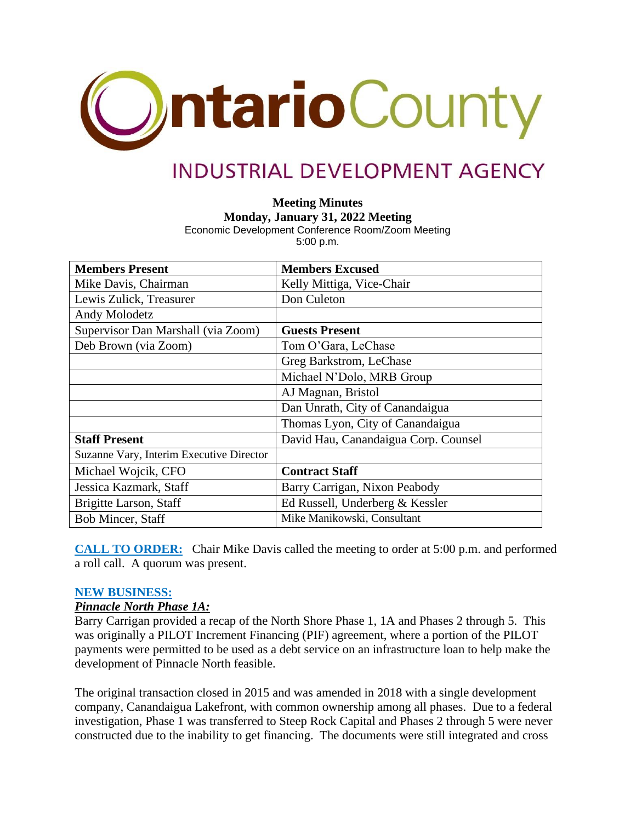

# **INDUSTRIAL DEVELOPMENT AGENCY**

**Meeting Minutes**

**Monday, January 31, 2022 Meeting**

Economic Development Conference Room/Zoom Meeting 5:00 p.m.

| <b>Members Present</b>                   | <b>Members Excused</b>               |
|------------------------------------------|--------------------------------------|
| Mike Davis, Chairman                     | Kelly Mittiga, Vice-Chair            |
| Lewis Zulick, Treasurer                  | Don Culeton                          |
| Andy Molodetz                            |                                      |
| Supervisor Dan Marshall (via Zoom)       | <b>Guests Present</b>                |
| Deb Brown (via Zoom)                     | Tom O'Gara, LeChase                  |
|                                          | Greg Barkstrom, LeChase              |
|                                          | Michael N'Dolo, MRB Group            |
|                                          | AJ Magnan, Bristol                   |
|                                          | Dan Unrath, City of Canandaigua      |
|                                          | Thomas Lyon, City of Canandaigua     |
| <b>Staff Present</b>                     | David Hau, Canandaigua Corp. Counsel |
| Suzanne Vary, Interim Executive Director |                                      |
| Michael Wojcik, CFO                      | <b>Contract Staff</b>                |
| Jessica Kazmark, Staff                   | Barry Carrigan, Nixon Peabody        |
| Brigitte Larson, Staff                   | Ed Russell, Underberg & Kessler      |
| <b>Bob Mincer, Staff</b>                 | Mike Manikowski, Consultant          |

**CALL TO ORDER:** Chair Mike Davis called the meeting to order at 5:00 p.m. and performed a roll call. A quorum was present.

#### **NEW BUSINESS:**

#### *Pinnacle North Phase 1A:*

Barry Carrigan provided a recap of the North Shore Phase 1, 1A and Phases 2 through 5. This was originally a PILOT Increment Financing (PIF) agreement, where a portion of the PILOT payments were permitted to be used as a debt service on an infrastructure loan to help make the development of Pinnacle North feasible.

The original transaction closed in 2015 and was amended in 2018 with a single development company, Canandaigua Lakefront, with common ownership among all phases. Due to a federal investigation, Phase 1 was transferred to Steep Rock Capital and Phases 2 through 5 were never constructed due to the inability to get financing. The documents were still integrated and cross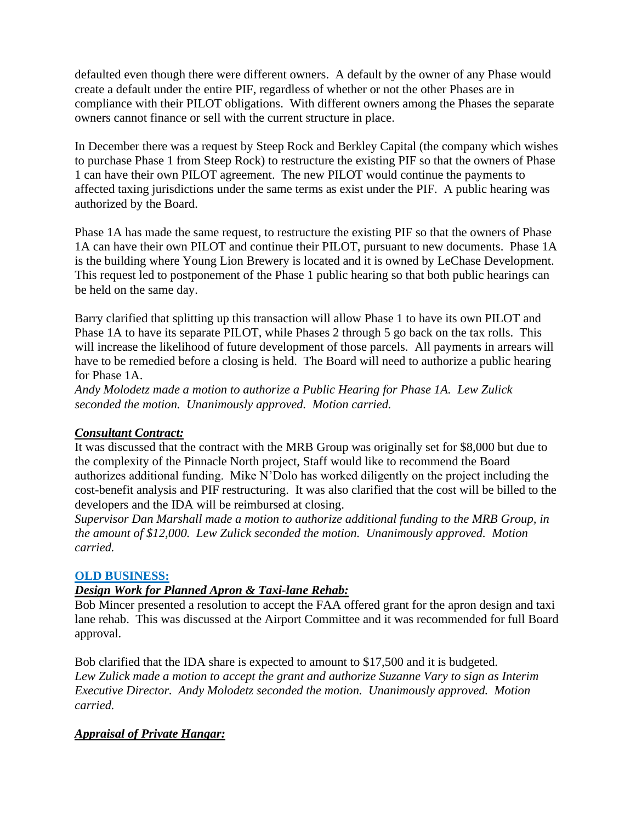defaulted even though there were different owners. A default by the owner of any Phase would create a default under the entire PIF, regardless of whether or not the other Phases are in compliance with their PILOT obligations. With different owners among the Phases the separate owners cannot finance or sell with the current structure in place.

In December there was a request by Steep Rock and Berkley Capital (the company which wishes to purchase Phase 1 from Steep Rock) to restructure the existing PIF so that the owners of Phase 1 can have their own PILOT agreement. The new PILOT would continue the payments to affected taxing jurisdictions under the same terms as exist under the PIF. A public hearing was authorized by the Board.

Phase 1A has made the same request, to restructure the existing PIF so that the owners of Phase 1A can have their own PILOT and continue their PILOT, pursuant to new documents. Phase 1A is the building where Young Lion Brewery is located and it is owned by LeChase Development. This request led to postponement of the Phase 1 public hearing so that both public hearings can be held on the same day.

Barry clarified that splitting up this transaction will allow Phase 1 to have its own PILOT and Phase 1A to have its separate PILOT, while Phases 2 through 5 go back on the tax rolls. This will increase the likelihood of future development of those parcels. All payments in arrears will have to be remedied before a closing is held. The Board will need to authorize a public hearing for Phase 1A.

*Andy Molodetz made a motion to authorize a Public Hearing for Phase 1A. Lew Zulick seconded the motion. Unanimously approved. Motion carried.*

# *Consultant Contract:*

It was discussed that the contract with the MRB Group was originally set for \$8,000 but due to the complexity of the Pinnacle North project, Staff would like to recommend the Board authorizes additional funding. Mike N'Dolo has worked diligently on the project including the cost-benefit analysis and PIF restructuring. It was also clarified that the cost will be billed to the developers and the IDA will be reimbursed at closing.

*Supervisor Dan Marshall made a motion to authorize additional funding to the MRB Group, in the amount of \$12,000. Lew Zulick seconded the motion. Unanimously approved. Motion carried.*

# **OLD BUSINESS:**

# *Design Work for Planned Apron & Taxi-lane Rehab:*

Bob Mincer presented a resolution to accept the FAA offered grant for the apron design and taxi lane rehab. This was discussed at the Airport Committee and it was recommended for full Board approval.

Bob clarified that the IDA share is expected to amount to \$17,500 and it is budgeted. *Lew Zulick made a motion to accept the grant and authorize Suzanne Vary to sign as Interim Executive Director. Andy Molodetz seconded the motion. Unanimously approved. Motion carried.*

#### *Appraisal of Private Hangar:*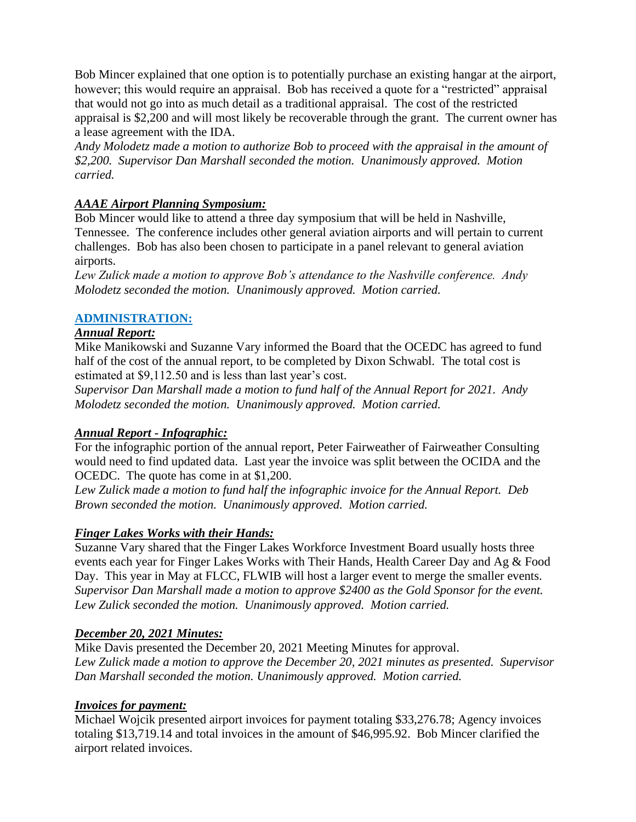Bob Mincer explained that one option is to potentially purchase an existing hangar at the airport, however; this would require an appraisal. Bob has received a quote for a "restricted" appraisal that would not go into as much detail as a traditional appraisal. The cost of the restricted appraisal is \$2,200 and will most likely be recoverable through the grant. The current owner has a lease agreement with the IDA.

*Andy Molodetz made a motion to authorize Bob to proceed with the appraisal in the amount of \$2,200. Supervisor Dan Marshall seconded the motion. Unanimously approved. Motion carried.*

# *AAAE Airport Planning Symposium:*

Bob Mincer would like to attend a three day symposium that will be held in Nashville, Tennessee. The conference includes other general aviation airports and will pertain to current challenges. Bob has also been chosen to participate in a panel relevant to general aviation airports.

*Lew Zulick made a motion to approve Bob's attendance to the Nashville conference. Andy Molodetz seconded the motion. Unanimously approved. Motion carried.*

# **ADMINISTRATION:**

# *Annual Report:*

Mike Manikowski and Suzanne Vary informed the Board that the OCEDC has agreed to fund half of the cost of the annual report, to be completed by Dixon Schwabl. The total cost is estimated at \$9,112.50 and is less than last year's cost.

*Supervisor Dan Marshall made a motion to fund half of the Annual Report for 2021. Andy Molodetz seconded the motion. Unanimously approved. Motion carried.*

# *Annual Report - Infographic:*

For the infographic portion of the annual report, Peter Fairweather of Fairweather Consulting would need to find updated data. Last year the invoice was split between the OCIDA and the OCEDC. The quote has come in at \$1,200.

*Lew Zulick made a motion to fund half the infographic invoice for the Annual Report. Deb Brown seconded the motion. Unanimously approved. Motion carried.*

# *Finger Lakes Works with their Hands:*

Suzanne Vary shared that the Finger Lakes Workforce Investment Board usually hosts three events each year for Finger Lakes Works with Their Hands, Health Career Day and Ag & Food Day. This year in May at FLCC, FLWIB will host a larger event to merge the smaller events. *Supervisor Dan Marshall made a motion to approve \$2400 as the Gold Sponsor for the event. Lew Zulick seconded the motion. Unanimously approved. Motion carried.*

# *December 20, 2021 Minutes:*

Mike Davis presented the December 20, 2021 Meeting Minutes for approval. *Lew Zulick made a motion to approve the December 20, 2021 minutes as presented. Supervisor Dan Marshall seconded the motion. Unanimously approved. Motion carried.*

# *Invoices for payment:*

Michael Wojcik presented airport invoices for payment totaling \$33,276.78; Agency invoices totaling \$13,719.14 and total invoices in the amount of \$46,995.92. Bob Mincer clarified the airport related invoices.